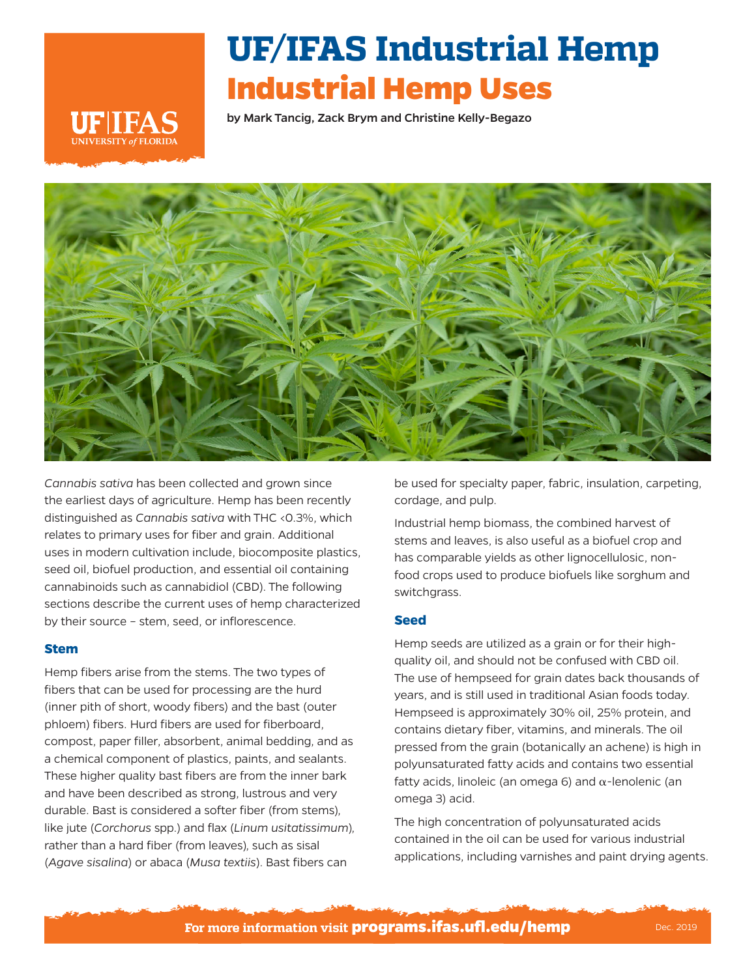# **UF/IFAS Industrial Hemp Industrial Hemp Uses**

by Mark Tancig, Zack Brym and Christine Kelly-Begazo





*Cannabis sativa* has been collected and grown since the earliest days of agriculture. Hemp has been recently distinguished as *Cannabis sativa* with THC <0.3%, which relates to primary uses for fiber and grain. Additional uses in modern cultivation include, biocomposite plastics, seed oil, biofuel production, and essential oil containing cannabinoids such as cannabidiol (CBD). The following sections describe the current uses of hemp characterized by their source – stem, seed, or inflorescence.

## **Stem**

Hemp fibers arise from the stems. The two types of fibers that can be used for processing are the hurd (inner pith of short, woody fibers) and the bast (outer phloem) fibers. Hurd fibers are used for fiberboard, compost, paper filler, absorbent, animal bedding, and as a chemical component of plastics, paints, and sealants. These higher quality bast fibers are from the inner bark and have been described as strong, lustrous and very durable. Bast is considered a softer fiber (from stems), like jute (*Corchorus* spp.) and flax (*Linum usitatissimum*), rather than a hard fiber (from leaves), such as sisal (*Agave sisalina*) or abaca (*Musa textiis*). Bast fibers can

be used for specialty paper, fabric, insulation, carpeting, cordage, and pulp.

Industrial hemp biomass, the combined harvest of stems and leaves, is also useful as a biofuel crop and has comparable yields as other lignocellulosic, nonfood crops used to produce biofuels like sorghum and switchgrass.

## **Seed**

Hemp seeds are utilized as a grain or for their highquality oil, and should not be confused with CBD oil. The use of hempseed for grain dates back thousands of years, and is still used in traditional Asian foods today. Hempseed is approximately 30% oil, 25% protein, and contains dietary fiber, vitamins, and minerals. The oil pressed from the grain (botanically an achene) is high in polyunsaturated fatty acids and contains two essential fatty acids, linoleic (an omega 6) and  $α$ -lenolenic (an omega 3) acid.

The high concentration of polyunsaturated acids contained in the oil can be used for various industrial applications, including varnishes and paint drying agents.

**For more information visit programs.ifas.ufl.edu/hemp** Dec. 2019